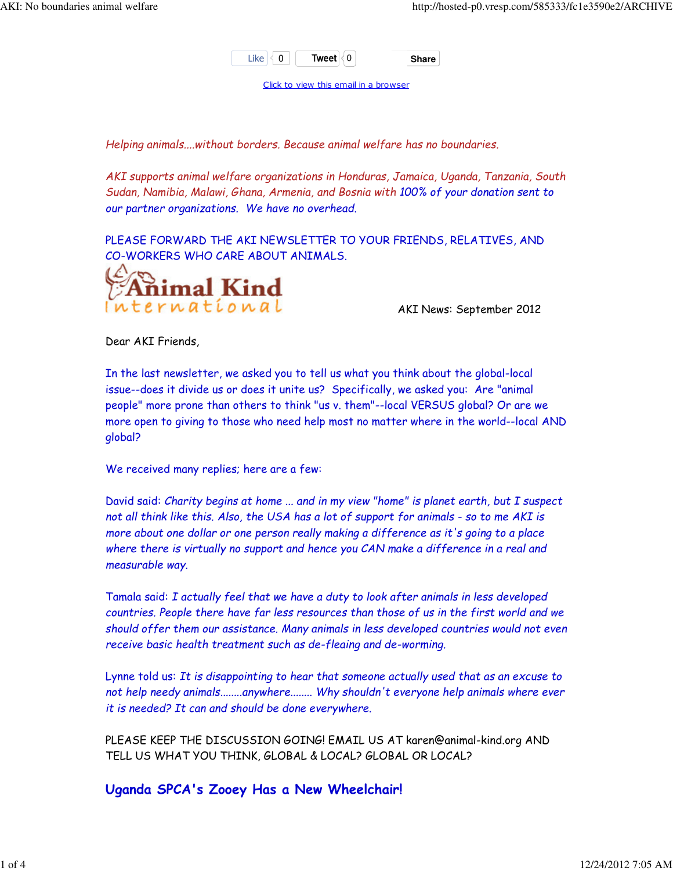

Click to view this email in a browser

Helping animals....without borders. Because animal welfare has no boundaries.

AKI supports animal welfare organizations in Honduras, Jamaica, Uganda, Tanzania, South Sudan, Namibia, Malawi, Ghana, Armenia, and Bosnia with 100% of your donation sent to our partner organizations. We have no overhead.

PLEASE FORWARD THE AKI NEWSLETTER TO YOUR FRIENDS, RELATIVES, AND CO-WORKERS WHO CARE ABOUT ANIMALS.



AKI News: September 2012

Dear AKI Friends,

In the last newsletter, we asked you to tell us what you think about the global-local issue--does it divide us or does it unite us? Specifically, we asked you: Are "animal people" more prone than others to think "us v. them"--local VERSUS global? Or are we more open to giving to those who need help most no matter where in the world--local AND global?

We received many replies; here are a few:

David said: Charity begins at home ... and in my view "home" is planet earth, but I suspect not all think like this. Also, the USA has a lot of support for animals - so to me AKI is more about one dollar or one person really making a difference as it's going to a place where there is virtually no support and hence you CAN make a difference in a real and measurable way.

Tamala said: I actually feel that we have a duty to look after animals in less developed countries. People there have far less resources than those of us in the first world and we should offer them our assistance. Many animals in less developed countries would not even receive basic health treatment such as de-fleaing and de-worming.

Lynne told us: It is disappointing to hear that someone actually used that as an excuse to not help needy animals........anywhere........ Why shouldn't everyone help animals where ever it is needed? It can and should be done everywhere.

PLEASE KEEP THE DISCUSSION GOING! EMAIL US AT karen@animal-kind.org AND TELL US WHAT YOU THINK, GLOBAL & LOCAL? GLOBAL OR LOCAL?

Uganda SPCA's Zooey Has a New Wheelchair!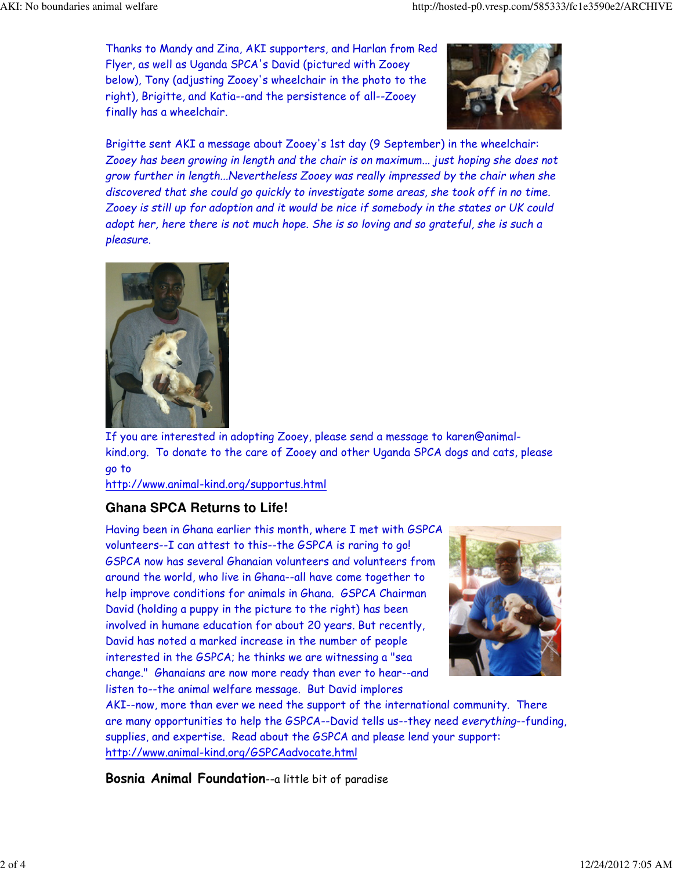Thanks to Mandy and Zina, AKI supporters, and Harlan from Red Flyer, as well as Uganda SPCA's David (pictured with Zooey below), Tony (adjusting Zooey's wheelchair in the photo to the right), Brigitte, and Katia--and the persistence of all--Zooey finally has a wheelchair.



Brigitte sent AKI a message about Zooey's 1st day (9 September) in the wheelchair: Zooey has been growing in length and the chair is on maximum... just hoping she does not grow further in length...Nevertheless Zooey was really impressed by the chair when she discovered that she could go quickly to investigate some areas, she took off in no time. Zooey is still up for adoption and it would be nice if somebody in the states or UK could adopt her, here there is not much hope. She is so loving and so grateful, she is such a pleasure.



If you are interested in adopting Zooey, please send a message to karen@animalkind.org. To donate to the care of Zooey and other Uganda SPCA dogs and cats, please go to

http://www.animal-kind.org/supportus.html

## **Ghana SPCA Returns to Life!**

Having been in Ghana earlier this month, where I met with GSPCA volunteers--I can attest to this--the GSPCA is raring to go! GSPCA now has several Ghanaian volunteers and volunteers from around the world, who live in Ghana--all have come together to help improve conditions for animals in Ghana. GSPCA Chairman David (holding a puppy in the picture to the right) has been involved in humane education for about 20 years. But recently, David has noted a marked increase in the number of people interested in the GSPCA; he thinks we are witnessing a "sea change." Ghanaians are now more ready than ever to hear--and listen to--the animal welfare message. But David implores



AKI--now, more than ever we need the support of the international community. There are many opportunities to help the GSPCA--David tells us--they need everything--funding, supplies, and expertise. Read about the GSPCA and please lend your support: http://www.animal-kind.org/GSPCAadvocate.html

Bosnia Animal Foundation--a little bit of paradise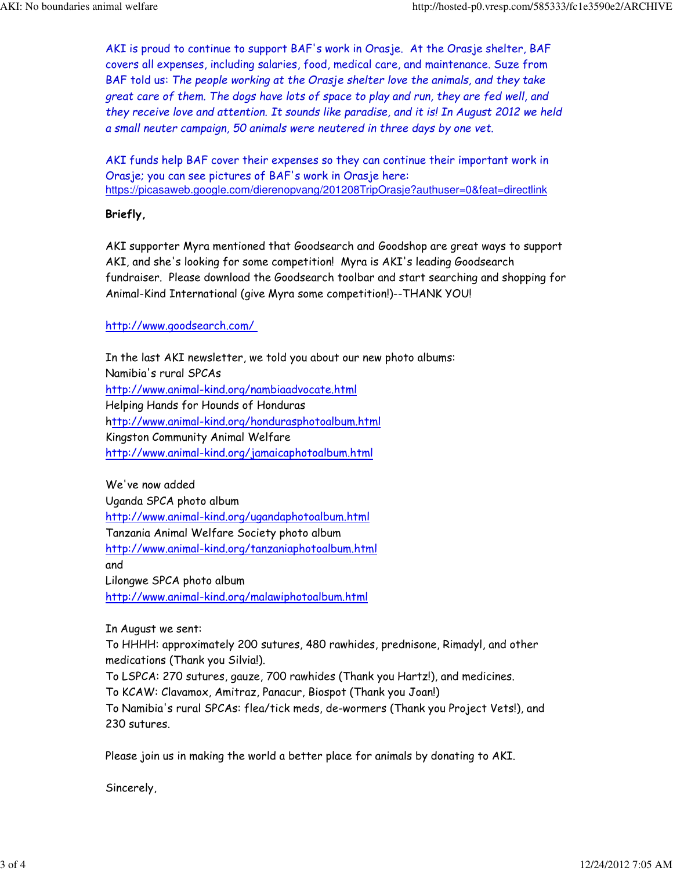AKI is proud to continue to support BAF's work in Orasje. At the Orasje shelter, BAF covers all expenses, including salaries, food, medical care, and maintenance. Suze from BAF told us: The people working at the Orasje shelter love the animals, and they take great care of them. The dogs have lots of space to play and run, they are fed well, and they receive love and attention. It sounds like paradise, and it is! In August 2012 we held a small neuter campaign, 50 animals were neutered in three days by one vet.

AKI funds help BAF cover their expenses so they can continue their important work in Orasje; you can see pictures of BAF's work in Orasje here: https://picasaweb.google.com/dierenopvang/201208TripOrasje?authuser=0&feat=directlink

## Briefly,

AKI supporter Myra mentioned that Goodsearch and Goodshop are great ways to support AKI, and she's looking for some competition! Myra is AKI's leading Goodsearch fundraiser. Please download the Goodsearch toolbar and start searching and shopping for Animal-Kind International (give Myra some competition!)--THANK YOU!

## http://www.goodsearch.com/

In the last AKI newsletter, we told you about our new photo albums: Namibia's rural SPCAs http://www.animal-kind.org/nambiaadvocate.html Helping Hands for Hounds of Honduras http://www.animal-kind.org/hondurasphotoalbum.html Kingston Community Animal Welfare http://www.animal-kind.org/jamaicaphotoalbum.html

We've now added Uganda SPCA photo album http://www.animal-kind.org/ugandaphotoalbum.html Tanzania Animal Welfare Society photo album http://www.animal-kind.org/tanzaniaphotoalbum.html and Lilongwe SPCA photo album http://www.animal-kind.org/malawiphotoalbum.html

In August we sent:

To HHHH: approximately 200 sutures, 480 rawhides, prednisone, Rimadyl, and other medications (Thank you Silvia!).

To LSPCA: 270 sutures, gauze, 700 rawhides (Thank you Hartz!), and medicines.

To KCAW: Clavamox, Amitraz, Panacur, Biospot (Thank you Joan!)

To Namibia's rural SPCAs: flea/tick meds, de-wormers (Thank you Project Vets!), and 230 sutures.

Please join us in making the world a better place for animals by donating to AKI.

Sincerely,